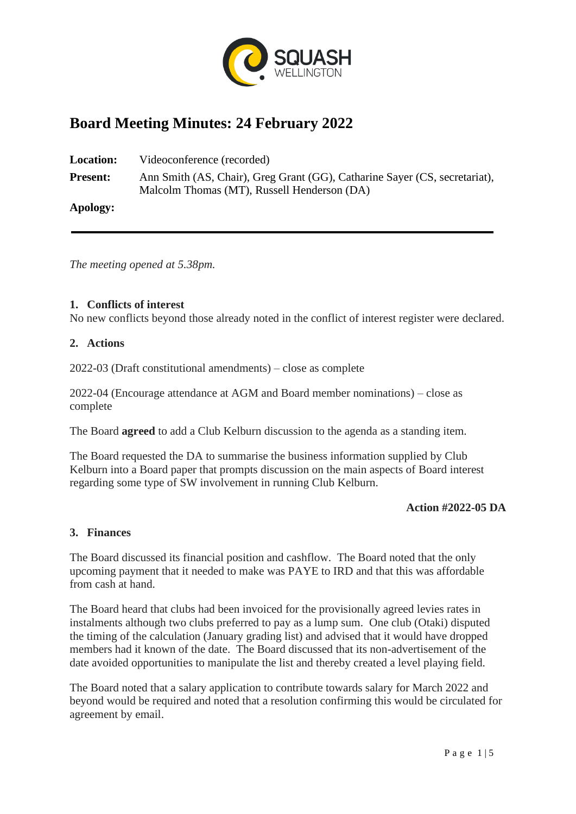

# **Board Meeting Minutes: 24 February 2022**

**Location:** Videoconference (recorded) **Present:** Ann Smith (AS, Chair), Greg Grant (GG), Catharine Sayer (CS, secretariat), Malcolm Thomas (MT), Russell Henderson (DA) **Apology:**

*The meeting opened at 5.38pm.*

#### **1. Conflicts of interest**

No new conflicts beyond those already noted in the conflict of interest register were declared.

#### **2. Actions**

2022-03 (Draft constitutional amendments) – close as complete

2022-04 (Encourage attendance at AGM and Board member nominations) – close as complete

The Board **agreed** to add a Club Kelburn discussion to the agenda as a standing item.

The Board requested the DA to summarise the business information supplied by Club Kelburn into a Board paper that prompts discussion on the main aspects of Board interest regarding some type of SW involvement in running Club Kelburn.

#### **Action #2022-05 DA**

#### **3. Finances**

The Board discussed its financial position and cashflow. The Board noted that the only upcoming payment that it needed to make was PAYE to IRD and that this was affordable from cash at hand.

The Board heard that clubs had been invoiced for the provisionally agreed levies rates in instalments although two clubs preferred to pay as a lump sum. One club (Otaki) disputed the timing of the calculation (January grading list) and advised that it would have dropped members had it known of the date. The Board discussed that its non-advertisement of the date avoided opportunities to manipulate the list and thereby created a level playing field.

The Board noted that a salary application to contribute towards salary for March 2022 and beyond would be required and noted that a resolution confirming this would be circulated for agreement by email.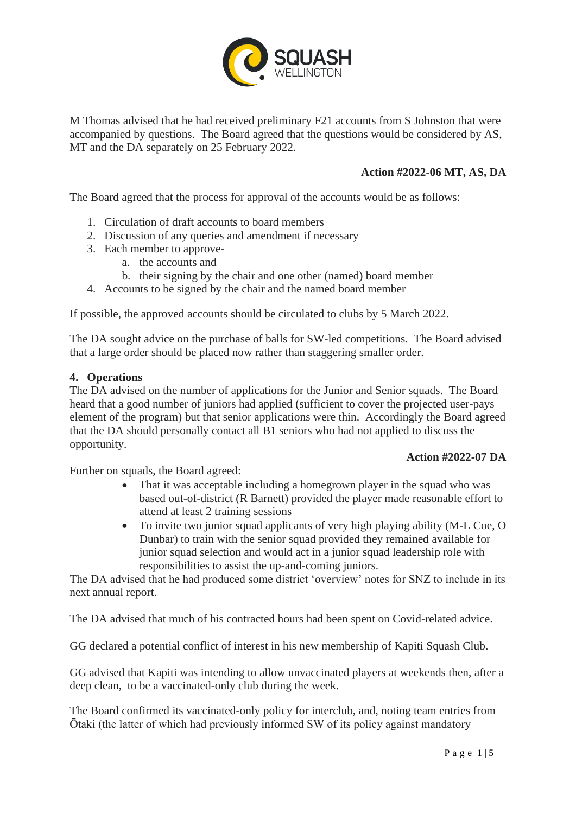

M Thomas advised that he had received preliminary F21 accounts from S Johnston that were accompanied by questions. The Board agreed that the questions would be considered by AS, MT and the DA separately on 25 February 2022.

### **Action #2022-06 MT, AS, DA**

The Board agreed that the process for approval of the accounts would be as follows:

- 1. Circulation of draft accounts to board members
- 2. Discussion of any queries and amendment if necessary
- 3. Each member to approve
	- a. the accounts and
		- b. their signing by the chair and one other (named) board member
- 4. Accounts to be signed by the chair and the named board member

If possible, the approved accounts should be circulated to clubs by 5 March 2022.

The DA sought advice on the purchase of balls for SW-led competitions. The Board advised that a large order should be placed now rather than staggering smaller order.

#### **4. Operations**

The DA advised on the number of applications for the Junior and Senior squads. The Board heard that a good number of juniors had applied (sufficient to cover the projected user-pays element of the program) but that senior applications were thin. Accordingly the Board agreed that the DA should personally contact all B1 seniors who had not applied to discuss the opportunity.

Further on squads, the Board agreed:

- That it was acceptable including a homegrown player in the squad who was based out-of-district (R Barnett) provided the player made reasonable effort to attend at least 2 training sessions
- To invite two junior squad applicants of very high playing ability (M-L Coe, O Dunbar) to train with the senior squad provided they remained available for junior squad selection and would act in a junior squad leadership role with responsibilities to assist the up-and-coming juniors.

The DA advised that he had produced some district 'overview' notes for SNZ to include in its next annual report.

The DA advised that much of his contracted hours had been spent on Covid-related advice.

GG declared a potential conflict of interest in his new membership of Kapiti Squash Club.

GG advised that Kapiti was intending to allow unvaccinated players at weekends then, after a deep clean, to be a vaccinated-only club during the week.

The Board confirmed its vaccinated-only policy for interclub, and, noting team entries from Ōtaki (the latter of which had previously informed SW of its policy against mandatory

**Action #2022-07 DA**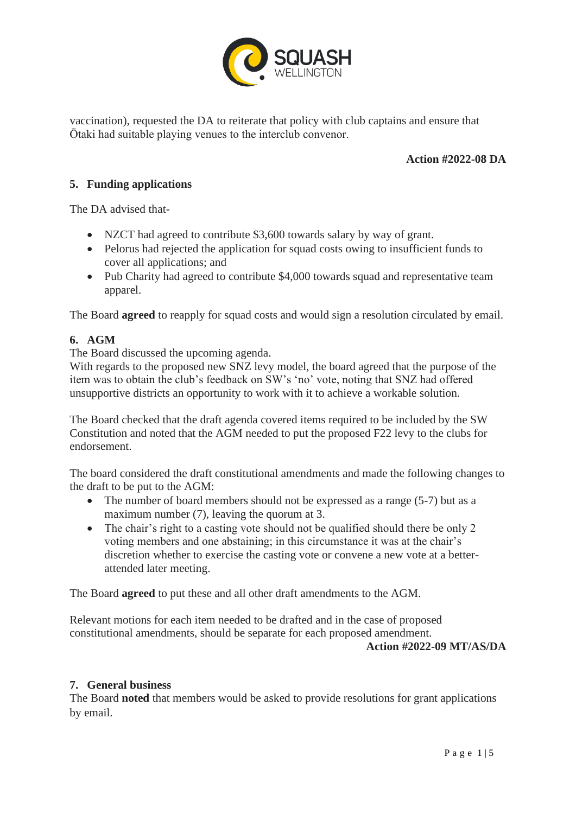

vaccination), requested the DA to reiterate that policy with club captains and ensure that Ōtaki had suitable playing venues to the interclub convenor.

## **Action #2022-08 DA**

### **5. Funding applications**

The DA advised that-

- NZCT had agreed to contribute \$3,600 towards salary by way of grant.
- Pelorus had rejected the application for squad costs owing to insufficient funds to cover all applications; and
- Pub Charity had agreed to contribute \$4,000 towards squad and representative team apparel.

The Board **agreed** to reapply for squad costs and would sign a resolution circulated by email.

## **6. AGM**

The Board discussed the upcoming agenda.

With regards to the proposed new SNZ levy model, the board agreed that the purpose of the item was to obtain the club's feedback on SW's 'no' vote, noting that SNZ had offered unsupportive districts an opportunity to work with it to achieve a workable solution.

The Board checked that the draft agenda covered items required to be included by the SW Constitution and noted that the AGM needed to put the proposed F22 levy to the clubs for endorsement.

The board considered the draft constitutional amendments and made the following changes to the draft to be put to the AGM:

- The number of board members should not be expressed as a range (5-7) but as a maximum number (7), leaving the quorum at 3.
- The chair's right to a casting vote should not be qualified should there be only 2 voting members and one abstaining; in this circumstance it was at the chair's discretion whether to exercise the casting vote or convene a new vote at a betterattended later meeting.

The Board **agreed** to put these and all other draft amendments to the AGM.

Relevant motions for each item needed to be drafted and in the case of proposed constitutional amendments, should be separate for each proposed amendment.

#### **Action #2022-09 MT/AS/DA**

## **7. General business**

The Board **noted** that members would be asked to provide resolutions for grant applications by email.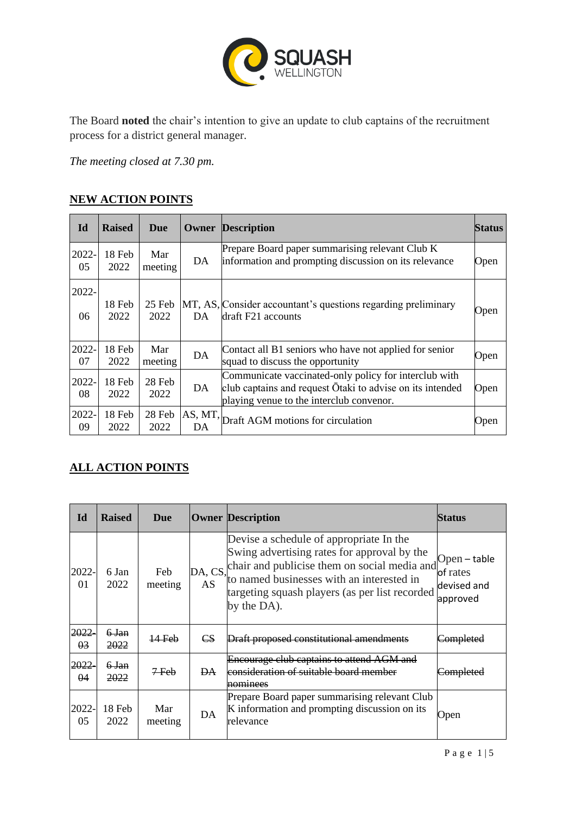

The Board **noted** the chair's intention to give an update to club captains of the recruitment process for a district general manager.

*The meeting closed at 7.30 pm.*

# **NEW ACTION POINTS**

| Id          | <b>Raised</b>  | Due            |               | <b>Owner Description</b>                                                                                                                                       | <b>Status</b> |
|-------------|----------------|----------------|---------------|----------------------------------------------------------------------------------------------------------------------------------------------------------------|---------------|
| 2022-<br>05 | 18 Feb<br>2022 | Mar<br>meeting | DA            | Prepare Board paper summarising relevant Club K<br>information and prompting discussion on its relevance                                                       | Open          |
| 2022-<br>06 | 18 Feb<br>2022 | 25 Feb<br>2022 | DA            | MT, AS, Consider accountant's questions regarding preliminary<br>draft F21 accounts                                                                            |               |
| 2022-<br>07 | 18 Feb<br>2022 | Mar<br>meeting | DA            | Contact all B1 seniors who have not applied for senior<br>squad to discuss the opportunity                                                                     | Open          |
| 2022-<br>08 | 18 Feb<br>2022 | 28 Feb<br>2022 | DA            | Communicate vaccinated-only policy for interclub with<br>club captains and request Otaki to advise on its intended<br>playing venue to the interclub convenor. |               |
| 2022-<br>09 | 18 Feb<br>2022 | 28 Feb<br>2022 | AS, MT,<br>DA | Draft AGM motions for circulation                                                                                                                              | Open          |

## **ALL ACTION POINTS**

| Id                 | <b>Raised</b>  | Due            |                        | <b>Owner Description</b>                                                                                                                                                                                                                             | Status                                              |
|--------------------|----------------|----------------|------------------------|------------------------------------------------------------------------------------------------------------------------------------------------------------------------------------------------------------------------------------------------------|-----------------------------------------------------|
| 2022-<br>01        | 6 Jan<br>2022  | Feb<br>meeting | DA, CS,<br>AS          | Devise a schedule of appropriate In the<br>Swing advertising rates for approval by the<br>chair and publicise them on social media and<br>to named businesses with an interested in<br>targeting squash players (as per list recorded<br>by the DA). | Open – table<br>of rates<br>devised and<br>approved |
| 2022<br>03         | 6 Jan<br>2022  | 14 Feb         | $\mathbf{C}\mathbf{S}$ | Draft proposed constitutional amendments                                                                                                                                                                                                             |                                                     |
| 2022<br>$\theta$ 4 | 6 Jan<br>2022  | $7$ Feb        | ÐА                     | <b>Encourage club captains to attend AGM and</b><br>consideration of suitable board member<br>nominees                                                                                                                                               |                                                     |
| 2022-<br>05        | 18 Feb<br>2022 | Mar<br>meeting | DA                     | Prepare Board paper summarising relevant Club<br>K information and prompting discussion on its<br>relevance                                                                                                                                          | Open                                                |